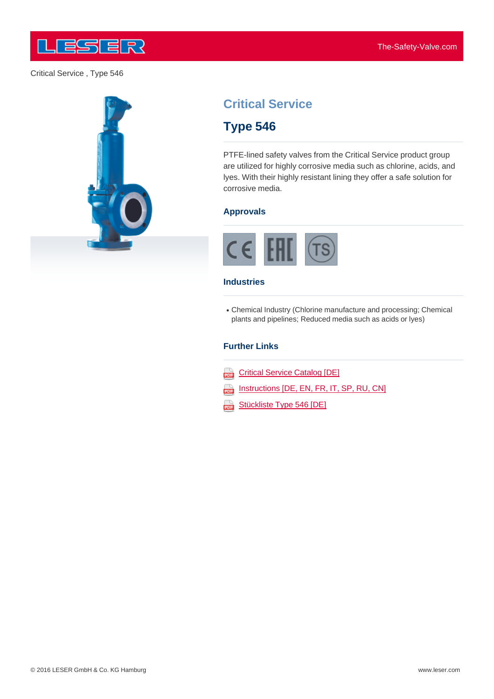

## Critical Service , Type 546





# **Critical Service**

## **Type 546**

PTFE-lined safety valves from the Critical Service product group are utilized for highly corrosive media such as chlorine, acids, and lyes. With their highly resistant lining they offer a safe solution for corrosive media.

### **Approvals**



#### **Industries**

Chemical Industry (Chlorine manufacture and processing; Chemical plants and pipelines; Reduced media such as acids or lyes)

### **Further Links**

- **Critical Service Catalog [DE]**
- Instructions [DE, EN, FR, IT, SP, RU, CN] 203
- Stückliste Type 546 [DE]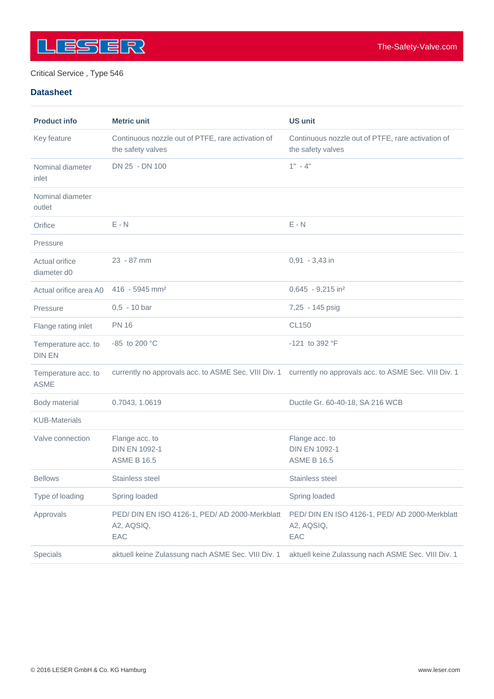

## Critical Service , Type 546

## **Datasheet**

| <b>Product info</b>                  | <b>Metric unit</b>                                                     | <b>US unit</b>                                                                                            |
|--------------------------------------|------------------------------------------------------------------------|-----------------------------------------------------------------------------------------------------------|
| Key feature                          | Continuous nozzle out of PTFE, rare activation of<br>the safety valves | Continuous nozzle out of PTFE, rare activation of<br>the safety valves                                    |
| Nominal diameter<br>inlet            | DN 25 - DN 100                                                         | $1" - 4"$                                                                                                 |
| Nominal diameter<br>outlet           |                                                                        |                                                                                                           |
| Orifice                              | $E - N$                                                                | $E - N$                                                                                                   |
| Pressure                             |                                                                        |                                                                                                           |
| Actual orifice<br>diameter d0        | 23 - 87 mm                                                             | $0,91 - 3,43$ in                                                                                          |
| Actual orifice area A0               | 416 - 5945 mm <sup>2</sup>                                             | $0,645 - 9,215$ in <sup>2</sup>                                                                           |
| Pressure                             | $0,5 - 10$ bar                                                         | 7,25 - 145 psig                                                                                           |
| Flange rating inlet                  | <b>PN 16</b>                                                           | <b>CL150</b>                                                                                              |
| Temperature acc. to<br><b>DIN EN</b> | -85 to 200 °C                                                          | -121 to 392 °F                                                                                            |
| Temperature acc. to<br><b>ASME</b>   |                                                                        | currently no approvals acc. to ASME Sec. VIII Div. 1 currently no approvals acc. to ASME Sec. VIII Div. 1 |
| Body material                        | 0.7043, 1.0619                                                         | Ductile Gr. 60-40-18, SA 216 WCB                                                                          |
| <b>KUB-Materials</b>                 |                                                                        |                                                                                                           |
| Valve connection                     | Flange acc. to<br><b>DIN EN 1092-1</b><br><b>ASME B 16.5</b>           | Flange acc. to<br><b>DIN EN 1092-1</b><br><b>ASME B 16.5</b>                                              |
| <b>Bellows</b>                       | Stainless steel                                                        | Stainless steel                                                                                           |
| Type of loading                      | Spring loaded                                                          | Spring loaded                                                                                             |
| Approvals                            | PED/ DIN EN ISO 4126-1, PED/ AD 2000-Merkblatt<br>A2, AQSIQ,<br>EAC    | PED/ DIN EN ISO 4126-1, PED/ AD 2000-Merkblatt<br>A2, AQSIQ,<br>EAC                                       |
| Specials                             | aktuell keine Zulassung nach ASME Sec. VIII Div. 1                     | aktuell keine Zulassung nach ASME Sec. VIII Div. 1                                                        |